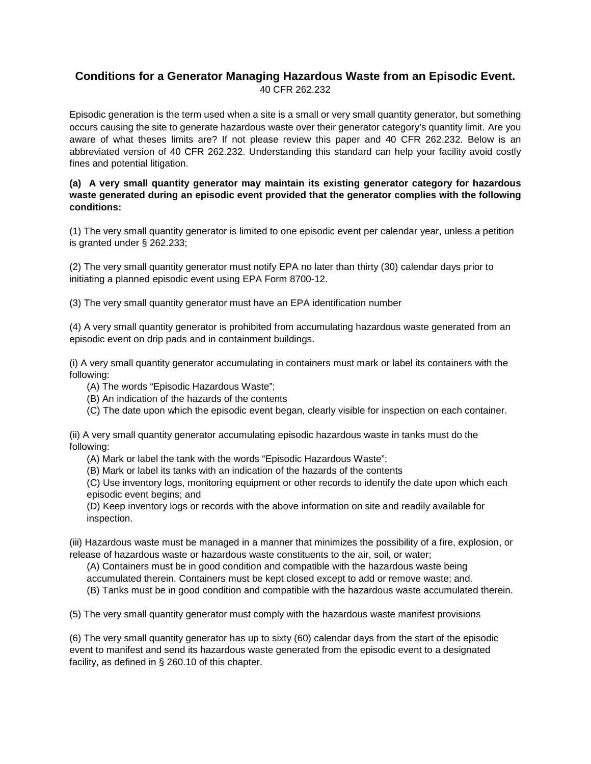## **Conditions for a [Generator](https://www.law.cornell.edu/definitions/index.php?width=840&height=800&iframe=true&def_id=fd488fb239367616d566800f7129cca6&term_occur=1&term_src=Title:40:Chapter:I:Subchapter:I:Part:262:Subpart:L:262.232) Managing [Hazardous Waste](https://www.law.cornell.edu/definitions/index.php?width=840&height=800&iframe=true&def_id=5aadbb8b2aae22c2c11228ec8e2bcdad&term_occur=1&term_src=Title:40:Chapter:I:Subchapter:I:Part:262:Subpart:L:262.232) from an [Episodic Event.](https://www.law.cornell.edu/definitions/index.php?width=840&height=800&iframe=true&def_id=0d1c103a2430d7dbcc50541305f76809&term_occur=1&term_src=Title:40:Chapter:I:Subchapter:I:Part:262:Subpart:L:262.232)** 40 CFR 262.232

Episodic generation is the term used when a site is a small or very small quantity generator, but something occurs causing the site to generate hazardous waste over their generator category's quantity limit. Are you aware of what theses limits are? If not please review this paper and 40 CFR 262.232. Below is an abbreviated version of 40 CFR 262.232. Understanding this standard can help your facility avoid costly fines and potential litigation.

## **(a) A [very small quantity generator](https://www.law.cornell.edu/definitions/index.php?width=840&height=800&iframe=true&def_id=de39db386e446fb748d5c81d71132ff5&term_occur=1&term_src=Title:40:Chapter:I:Subchapter:I:Part:262:Subpart:L:262.232) may maintain its existing [generator](https://www.law.cornell.edu/definitions/index.php?width=840&height=800&iframe=true&def_id=fd488fb239367616d566800f7129cca6&term_occur=2&term_src=Title:40:Chapter:I:Subchapter:I:Part:262:Subpart:L:262.232) category for [hazardous](https://www.law.cornell.edu/definitions/index.php?width=840&height=800&iframe=true&def_id=5aadbb8b2aae22c2c11228ec8e2bcdad&term_occur=2&term_src=Title:40:Chapter:I:Subchapter:I:Part:262:Subpart:L:262.232)  [waste](https://www.law.cornell.edu/definitions/index.php?width=840&height=800&iframe=true&def_id=5aadbb8b2aae22c2c11228ec8e2bcdad&term_occur=2&term_src=Title:40:Chapter:I:Subchapter:I:Part:262:Subpart:L:262.232) generated during an [episodic event](https://www.law.cornell.edu/definitions/index.php?width=840&height=800&iframe=true&def_id=0d1c103a2430d7dbcc50541305f76809&term_occur=2&term_src=Title:40:Chapter:I:Subchapter:I:Part:262:Subpart:L:262.232) provided that the [generator](https://www.law.cornell.edu/definitions/index.php?width=840&height=800&iframe=true&def_id=fd488fb239367616d566800f7129cca6&term_occur=3&term_src=Title:40:Chapter:I:Subchapter:I:Part:262:Subpart:L:262.232) complies with the following conditions:**

(1) The [very small quantity generator](https://www.law.cornell.edu/definitions/index.php?width=840&height=800&iframe=true&def_id=de39db386e446fb748d5c81d71132ff5&term_occur=2&term_src=Title:40:Chapter:I:Subchapter:I:Part:262:Subpart:L:262.232) is limited to one [episodic event](https://www.law.cornell.edu/definitions/index.php?width=840&height=800&iframe=true&def_id=0d1c103a2430d7dbcc50541305f76809&term_occur=3&term_src=Title:40:Chapter:I:Subchapter:I:Part:262:Subpart:L:262.232) per calendar year, unless a petition is granted under [§ 262.233;](https://www.law.cornell.edu/cfr/text/40/262.233)

(2) The [very small quantity generator](https://www.law.cornell.edu/definitions/index.php?width=840&height=800&iframe=true&def_id=de39db386e446fb748d5c81d71132ff5&term_occur=3&term_src=Title:40:Chapter:I:Subchapter:I:Part:262:Subpart:L:262.232) must notify EPA no later than thirty (30) calendar days prior to initiating a [planned episodic event](https://www.law.cornell.edu/definitions/index.php?width=840&height=800&iframe=true&def_id=19a0bd9a76ffc3b81c79f2cbcb2eff75&term_occur=1&term_src=Title:40:Chapter:I:Subchapter:I:Part:262:Subpart:L:262.232) using EPA Form 8700-12.

(3) The [very small quantity generator](https://www.law.cornell.edu/definitions/index.php?width=840&height=800&iframe=true&def_id=de39db386e446fb748d5c81d71132ff5&term_occur=4&term_src=Title:40:Chapter:I:Subchapter:I:Part:262:Subpart:L:262.232) must have an [EPA identification number](https://www.law.cornell.edu/definitions/index.php?width=840&height=800&iframe=true&def_id=a0d2783ed483caa361759e73a6633f30&term_occur=1&term_src=Title:40:Chapter:I:Subchapter:I:Part:262:Subpart:L:262.232)

(4) A [very small quantity generator](https://www.law.cornell.edu/definitions/index.php?width=840&height=800&iframe=true&def_id=de39db386e446fb748d5c81d71132ff5&term_occur=5&term_src=Title:40:Chapter:I:Subchapter:I:Part:262:Subpart:L:262.232) is prohibited from accumulating [hazardous waste](https://www.law.cornell.edu/definitions/index.php?width=840&height=800&iframe=true&def_id=5aadbb8b2aae22c2c11228ec8e2bcdad&term_occur=4&term_src=Title:40:Chapter:I:Subchapter:I:Part:262:Subpart:L:262.232) generated from an [episodic event](https://www.law.cornell.edu/definitions/index.php?width=840&height=800&iframe=true&def_id=0d1c103a2430d7dbcc50541305f76809&term_occur=6&term_src=Title:40:Chapter:I:Subchapter:I:Part:262:Subpart:L:262.232) on [drip pads](https://www.law.cornell.edu/definitions/index.php?width=840&height=800&iframe=true&def_id=da2038dcd71e60c39a7b209c71bee369&term_occur=1&term_src=Title:40:Chapter:I:Subchapter:I:Part:262:Subpart:L:262.232) and in [containment](https://www.law.cornell.edu/definitions/index.php?width=840&height=800&iframe=true&def_id=9bf232a984f762659b220754773a648f&term_occur=1&term_src=Title:40:Chapter:I:Subchapter:I:Part:262:Subpart:L:262.232) buildings.

(i) A [very small quantity generator](https://www.law.cornell.edu/definitions/index.php?width=840&height=800&iframe=true&def_id=de39db386e446fb748d5c81d71132ff5&term_occur=6&term_src=Title:40:Chapter:I:Subchapter:I:Part:262:Subpart:L:262.232) accumulating in [containers](https://www.law.cornell.edu/definitions/index.php?width=840&height=800&iframe=true&def_id=2233af655488571da1e069079e3e68ae&term_occur=2&term_src=Title:40:Chapter:I:Subchapter:I:Part:262:Subpart:L:262.232) must mark or label its [containers](https://www.law.cornell.edu/definitions/index.php?width=840&height=800&iframe=true&def_id=2233af655488571da1e069079e3e68ae&term_occur=3&term_src=Title:40:Chapter:I:Subchapter:I:Part:262:Subpart:L:262.232) with the following:

- (A) The words "Episodic Hazardous Waste";
- (B) An indication of the hazards of the contents
- (C) The date upon which the [episodic event](https://www.law.cornell.edu/definitions/index.php?width=840&height=800&iframe=true&def_id=0d1c103a2430d7dbcc50541305f76809&term_occur=7&term_src=Title:40:Chapter:I:Subchapter:I:Part:262:Subpart:L:262.232) began, clearly visible for [inspection](https://www.law.cornell.edu/definitions/index.php?width=840&height=800&iframe=true&def_id=6fe0689f56491203e1133c82cf897188&term_occur=1&term_src=Title:40:Chapter:I:Subchapter:I:Part:262:Subpart:L:262.232) on each [container.](https://www.law.cornell.edu/definitions/index.php?width=840&height=800&iframe=true&def_id=2233af655488571da1e069079e3e68ae&term_occur=4&term_src=Title:40:Chapter:I:Subchapter:I:Part:262:Subpart:L:262.232)

(ii) A [very small quantity generator](https://www.law.cornell.edu/definitions/index.php?width=840&height=800&iframe=true&def_id=de39db386e446fb748d5c81d71132ff5&term_occur=7&term_src=Title:40:Chapter:I:Subchapter:I:Part:262:Subpart:L:262.232) accumulating episodic [hazardous waste](https://www.law.cornell.edu/definitions/index.php?width=840&height=800&iframe=true&def_id=5aadbb8b2aae22c2c11228ec8e2bcdad&term_occur=7&term_src=Title:40:Chapter:I:Subchapter:I:Part:262:Subpart:L:262.232) in [tanks](https://www.law.cornell.edu/definitions/index.php?width=840&height=800&iframe=true&def_id=bf4b42c24d9f20d7f0b959c9d791d711&term_occur=2&term_src=Title:40:Chapter:I:Subchapter:I:Part:262:Subpart:L:262.232) must do the following:

- (A) Mark or label the [tank](https://www.law.cornell.edu/definitions/index.php?width=840&height=800&iframe=true&def_id=bf4b42c24d9f20d7f0b959c9d791d711&term_occur=3&term_src=Title:40:Chapter:I:Subchapter:I:Part:262:Subpart:L:262.232) with the words "Episodic Hazardous Waste";
- (B) Mark or label its [tanks](https://www.law.cornell.edu/definitions/index.php?width=840&height=800&iframe=true&def_id=bf4b42c24d9f20d7f0b959c9d791d711&term_occur=4&term_src=Title:40:Chapter:I:Subchapter:I:Part:262:Subpart:L:262.232) with an indication of the hazards of the contents

(C) Use inventory logs, monitoring [equipment](https://www.law.cornell.edu/definitions/index.php?width=840&height=800&iframe=true&def_id=fc4ef2c8839c5575d8c6ebc749dcaa34&term_occur=1&term_src=Title:40:Chapter:I:Subchapter:I:Part:262:Subpart:L:262.232) or other records to identify the date upon which each [episodic event](https://www.law.cornell.edu/definitions/index.php?width=840&height=800&iframe=true&def_id=0d1c103a2430d7dbcc50541305f76809&term_occur=8&term_src=Title:40:Chapter:I:Subchapter:I:Part:262:Subpart:L:262.232) begins; and

(D) Keep inventory logs or records with the above information on site and readily available for [inspection.](https://www.law.cornell.edu/definitions/index.php?width=840&height=800&iframe=true&def_id=6fe0689f56491203e1133c82cf897188&term_occur=2&term_src=Title:40:Chapter:I:Subchapter:I:Part:262:Subpart:L:262.232)

(iii) [Hazardous waste](https://www.law.cornell.edu/definitions/index.php?width=840&height=800&iframe=true&def_id=5aadbb8b2aae22c2c11228ec8e2bcdad&term_occur=9&term_src=Title:40:Chapter:I:Subchapter:I:Part:262:Subpart:L:262.232) must be managed in a manner that minimizes the possibility of a fire, explosion, or release of [hazardous waste](https://www.law.cornell.edu/definitions/index.php?width=840&height=800&iframe=true&def_id=5aadbb8b2aae22c2c11228ec8e2bcdad&term_occur=10&term_src=Title:40:Chapter:I:Subchapter:I:Part:262:Subpart:L:262.232) or [hazardous waste constituents](https://www.law.cornell.edu/definitions/index.php?width=840&height=800&iframe=true&def_id=fb18a051f02c9fbd4c1a3f66f0059433&term_occur=1&term_src=Title:40:Chapter:I:Subchapter:I:Part:262:Subpart:L:262.232) to the air, soil, or water;

(A) [Containers](https://www.law.cornell.edu/definitions/index.php?width=840&height=800&iframe=true&def_id=2233af655488571da1e069079e3e68ae&term_occur=5&term_src=Title:40:Chapter:I:Subchapter:I:Part:262:Subpart:L:262.232) must be in good condition and compatible with the [hazardous waste](https://www.law.cornell.edu/definitions/index.php?width=840&height=800&iframe=true&def_id=5aadbb8b2aae22c2c11228ec8e2bcdad&term_occur=11&term_src=Title:40:Chapter:I:Subchapter:I:Part:262:Subpart:L:262.232) being accumulated therein. [Containers](https://www.law.cornell.edu/definitions/index.php?width=840&height=800&iframe=true&def_id=2233af655488571da1e069079e3e68ae&term_occur=6&term_src=Title:40:Chapter:I:Subchapter:I:Part:262:Subpart:L:262.232) must be kept closed except to add or remove waste; and.

(B) [Tanks](https://www.law.cornell.edu/definitions/index.php?width=840&height=800&iframe=true&def_id=bf4b42c24d9f20d7f0b959c9d791d711&term_occur=5&term_src=Title:40:Chapter:I:Subchapter:I:Part:262:Subpart:L:262.232) must be in good condition and compatible with the [hazardous waste](https://www.law.cornell.edu/definitions/index.php?width=840&height=800&iframe=true&def_id=5aadbb8b2aae22c2c11228ec8e2bcdad&term_occur=12&term_src=Title:40:Chapter:I:Subchapter:I:Part:262:Subpart:L:262.232) accumulated therein.

(5) The [very small quantity generator](https://www.law.cornell.edu/definitions/index.php?width=840&height=800&iframe=true&def_id=de39db386e446fb748d5c81d71132ff5&term_occur=8&term_src=Title:40:Chapter:I:Subchapter:I:Part:262:Subpart:L:262.232) must comply with the [hazardous waste](https://www.law.cornell.edu/definitions/index.php?width=840&height=800&iframe=true&def_id=5aadbb8b2aae22c2c11228ec8e2bcdad&term_occur=14&term_src=Title:40:Chapter:I:Subchapter:I:Part:262:Subpart:L:262.232) [manifest](https://www.law.cornell.edu/definitions/index.php?width=840&height=800&iframe=true&def_id=e43f21997a94bb92c55f6b605e2dce0f&term_occur=1&term_src=Title:40:Chapter:I:Subchapter:I:Part:262:Subpart:L:262.232) provisions

(6) The [very small quantity generator](https://www.law.cornell.edu/definitions/index.php?width=840&height=800&iframe=true&def_id=de39db386e446fb748d5c81d71132ff5&term_occur=9&term_src=Title:40:Chapter:I:Subchapter:I:Part:262:Subpart:L:262.232) has up to sixty (60) calendar days from the start of the [episodic](https://www.law.cornell.edu/definitions/index.php?width=840&height=800&iframe=true&def_id=0d1c103a2430d7dbcc50541305f76809&term_occur=10&term_src=Title:40:Chapter:I:Subchapter:I:Part:262:Subpart:L:262.232)  [event](https://www.law.cornell.edu/definitions/index.php?width=840&height=800&iframe=true&def_id=0d1c103a2430d7dbcc50541305f76809&term_occur=10&term_src=Title:40:Chapter:I:Subchapter:I:Part:262:Subpart:L:262.232) to [manifest](https://www.law.cornell.edu/definitions/index.php?width=840&height=800&iframe=true&def_id=e43f21997a94bb92c55f6b605e2dce0f&term_occur=2&term_src=Title:40:Chapter:I:Subchapter:I:Part:262:Subpart:L:262.232) and send its [hazardous waste](https://www.law.cornell.edu/definitions/index.php?width=840&height=800&iframe=true&def_id=5aadbb8b2aae22c2c11228ec8e2bcdad&term_occur=16&term_src=Title:40:Chapter:I:Subchapter:I:Part:262:Subpart:L:262.232) generated from the [episodic event](https://www.law.cornell.edu/definitions/index.php?width=840&height=800&iframe=true&def_id=0d1c103a2430d7dbcc50541305f76809&term_occur=11&term_src=Title:40:Chapter:I:Subchapter:I:Part:262:Subpart:L:262.232) to a [designated](https://www.law.cornell.edu/definitions/index.php?width=840&height=800&iframe=true&def_id=e80277a14ac318e4fa73f7691803a367&term_occur=2&term_src=Title:40:Chapter:I:Subchapter:I:Part:262:Subpart:L:262.232)  [facility,](https://www.law.cornell.edu/definitions/index.php?width=840&height=800&iframe=true&def_id=e80277a14ac318e4fa73f7691803a367&term_occur=2&term_src=Title:40:Chapter:I:Subchapter:I:Part:262:Subpart:L:262.232) as defined in [§ 260.10](https://www.law.cornell.edu/cfr/text/40/260.10) of this chapter.